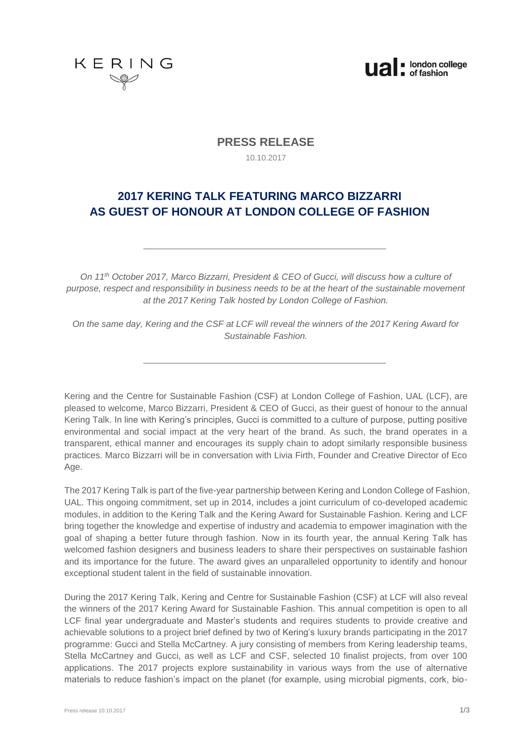



# **PRESS RELEASE**

10.10.2017

# **2017 KERING TALK FEATURING MARCO BIZZARRI AS GUEST OF HONOUR AT LONDON COLLEGE OF FASHION**

*On 11th October 2017, Marco Bizzarri, President & CEO of Gucci, will discuss how a culture of purpose, respect and responsibility in business needs to be at the heart of the sustainable movement at the 2017 Kering Talk hosted by London College of Fashion.*

*On the same day, Kering and the CSF at LCF will reveal the winners of the 2017 Kering Award for Sustainable Fashion.*

Kering and the Centre for Sustainable Fashion (CSF) at London College of Fashion, UAL (LCF), are pleased to welcome, Marco Bizzarri, President & CEO of Gucci, as their guest of honour to the annual Kering Talk. In line with Kering's principles, Gucci is committed to a culture of purpose, putting positive environmental and social impact at the very heart of the brand. As such, the brand operates in a transparent, ethical manner and encourages its supply chain to adopt similarly responsible business practices. Marco Bizzarri will be in conversation with Livia Firth, Founder and Creative Director of Eco Age.

The 2017 Kering Talk is part of the five-year partnership between Kering and London College of Fashion, UAL. This ongoing commitment, set up in 2014, includes a joint curriculum of co-developed academic modules, in addition to the Kering Talk and the Kering Award for Sustainable Fashion. Kering and LCF bring together the knowledge and expertise of industry and academia to empower imagination with the goal of shaping a better future through fashion. Now in its fourth year, the annual Kering Talk has welcomed fashion designers and business leaders to share their perspectives on sustainable fashion and its importance for the future. The award gives an unparalleled opportunity to identify and honour exceptional student talent in the field of sustainable innovation.

During the 2017 Kering Talk, Kering and Centre for Sustainable Fashion (CSF) at LCF will also reveal the winners of the 2017 Kering Award for Sustainable Fashion. This annual competition is open to all LCF final year undergraduate and Master's students and requires students to provide creative and achievable solutions to a project brief defined by two of Kering's luxury brands participating in the 2017 programme: Gucci and Stella McCartney. A jury consisting of members from Kering leadership teams, Stella McCartney and Gucci, as well as LCF and CSF, selected 10 finalist projects, from over 100 applications. The 2017 projects explore sustainability in various ways from the use of alternative materials to reduce fashion's impact on the planet (for example, using microbial pigments, cork, bio-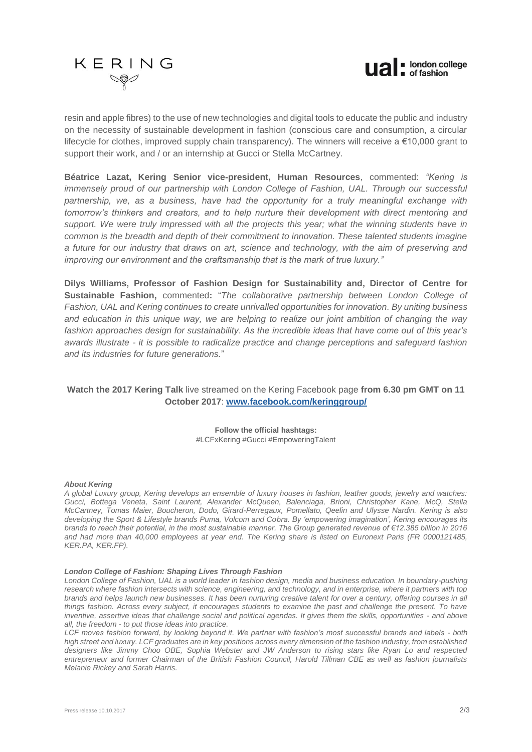



resin and apple fibres) to the use of new technologies and digital tools to educate the public and industry on the necessity of sustainable development in fashion (conscious care and consumption, a circular lifecycle for clothes, improved supply chain transparency). The winners will receive a €10,000 grant to support their work, and / or an internship at Gucci or Stella McCartney.

**Béatrice Lazat, Kering Senior vice-president, Human Resources**, commented: *"Kering is immensely proud of our partnership with London College of Fashion, UAL. Through our successful partnership, we, as a business, have had the opportunity for a truly meaningful exchange with tomorrow's thinkers and creators, and to help nurture their development with direct mentoring and support. We were truly impressed with all the projects this year; what the winning students have in common is the breadth and depth of their commitment to innovation. These talented students imagine a future for our industry that draws on art, science and technology, with the aim of preserving and improving our environment and the craftsmanship that is the mark of true luxury."* 

**Dilys Williams, Professor of Fashion Design for Sustainability and, Director of Centre for Sustainable Fashion,** commented**:** "*The collaborative partnership between London College of Fashion, UAL and Kering continues to create unrivalled opportunities for innovation. By uniting business and education in this unique way, we are helping to realize our joint ambition of changing the way fashion approaches design for sustainability. As the incredible ideas that have come out of this year's awards illustrate - it is possible to radicalize practice and change perceptions and safeguard fashion and its industries for future generations.*"

# **Watch the 2017 Kering Talk** live streamed on the Kering Facebook page **from 6.30 pm GMT on 11 October 2017**: **www.facebook.com/keringgroup/**

**Follow the official hashtags:** #LCFxKering #Gucci #EmpoweringTalent

## *About Kering*

*A global Luxury group, Kering develops an ensemble of luxury houses in fashion, leather goods, jewelry and watches: Gucci, Bottega Veneta, Saint Laurent, Alexander McQueen, Balenciaga, Brioni, Christopher Kane, McQ, Stella McCartney, Tomas Maier, Boucheron, Dodo, Girard-Perregaux, Pomellato, Qeelin and Ulysse Nardin. Kering is also developing the Sport & Lifestyle brands Puma, Volcom and Cobra. By 'empowering imagination', Kering encourages its brands to reach their potential, in the most sustainable manner. The Group generated revenue of €12.385 billion in 2016 and had more than 40,000 employees at year end. The Kering share is listed on Euronext Paris (FR 0000121485, KER.PA, KER.FP).* 

### *[London College of Fashion: Shaping Lives Through Fashion](http://www.arts.ac.uk/fashion/)*

*London College of Fashion, UAL is a world leader in fashion design, media and business education. In boundary-pushing research where fashion intersects with science, engineering, and technology, and in enterprise, where it partners with top brands and helps launch new businesses. It has been nurturing creative talent for over a century, offering courses in all things fashion. Across every subject, it encourages students to examine the past and challenge the present. To have inventive, assertive ideas that challenge social and political agendas. It gives them the skills, opportunities - and above all, the freedom - to put those ideas into practice.* 

*LCF moves fashion forward, by looking beyond it. We partner with fashion's most successful brands and labels - both high street and luxury. LCF graduates are in key positions across every dimension of the fashion industry, from established designers like Jimmy Choo OBE, Sophia Webster and JW Anderson to rising stars like Ryan Lo and respected entrepreneur and former Chairman of the British Fashion Council, Harold Tillman CBE as well as fashion journalists Melanie Rickey and Sarah Harris.*